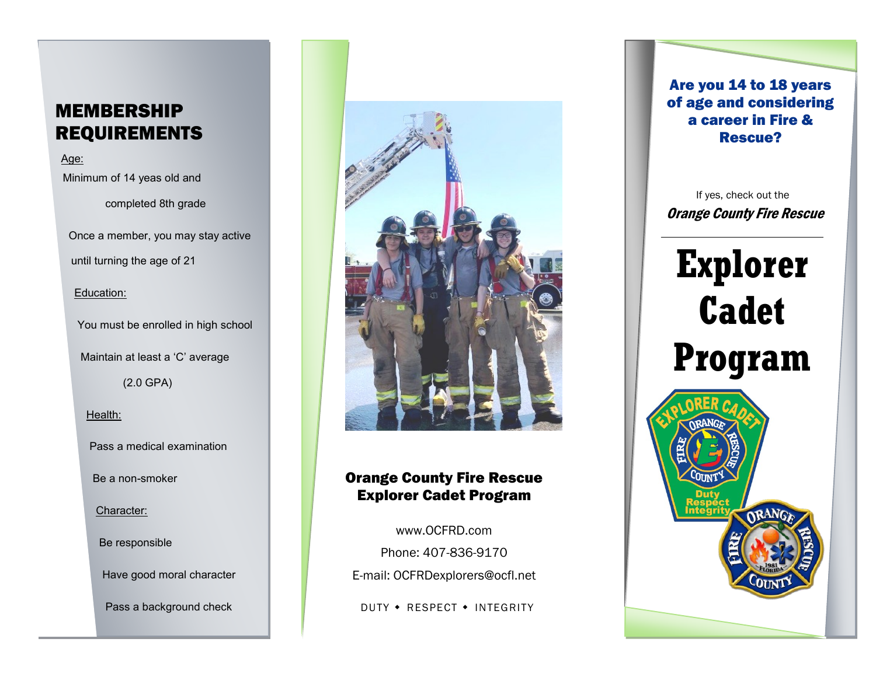# MEMBERSHIP REQUIREMENTS

Age: Minimum of 14 yeas old and completed 8th grade Once a member, you may stay active until turning the age of 21 Education: You must be enrolled in high school Maintain at least a 'C' average (2.0 GPA) Health: Pass a medical examination Be a non-smoker

Character:

Be responsible

Have good moral character

Pass a background check



#### Orange County Fire Rescue Explorer Cadet Program

[www.OCFRD.com](http://www.OCFRD.com) Phone: 407-836-9170 E-mail: [OCFRDexplorers@ocfl.net](mailto:OCFRDexplorers@ocfl.net)

DUTY • RESPECT • INTEGRITY

Are you 14 to 18 years of age and considering a career in Fire & Rescue?

Orange County Fire Rescue If yes, check out the